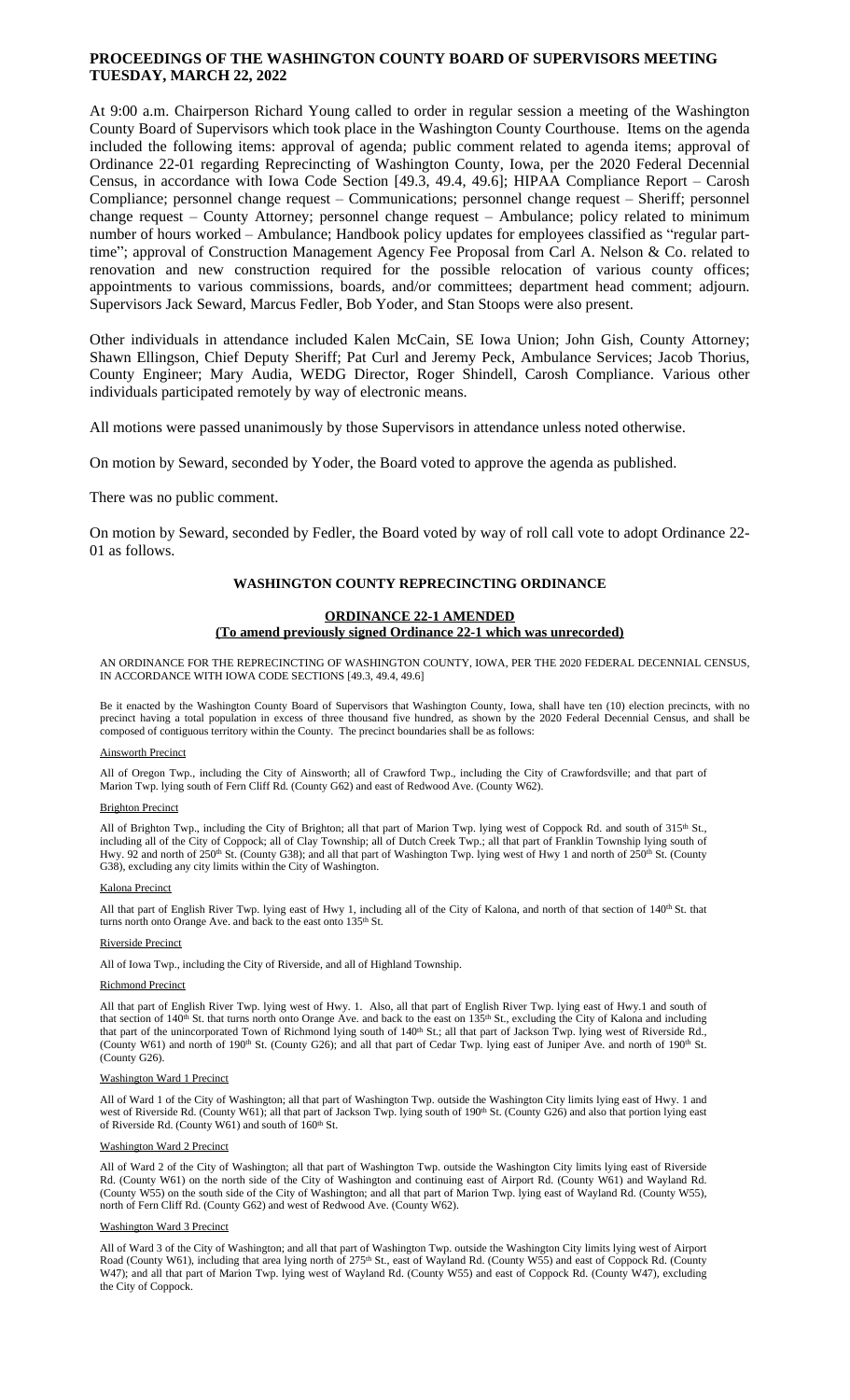# **PROCEEDINGS OF THE WASHINGTON COUNTY BOARD OF SUPERVISORS MEETING TUESDAY, MARCH 22, 2022**

At 9:00 a.m. Chairperson Richard Young called to order in regular session a meeting of the Washington County Board of Supervisors which took place in the Washington County Courthouse. Items on the agenda included the following items: approval of agenda; public comment related to agenda items; approval of Ordinance 22-01 regarding Reprecincting of Washington County, Iowa, per the 2020 Federal Decennial Census, in accordance with Iowa Code Section [49.3, 49.4, 49.6]; HIPAA Compliance Report – Carosh Compliance; personnel change request – Communications; personnel change request – Sheriff; personnel change request – County Attorney; personnel change request – Ambulance; policy related to minimum number of hours worked – Ambulance; Handbook policy updates for employees classified as "regular parttime"; approval of Construction Management Agency Fee Proposal from Carl A. Nelson & Co. related to renovation and new construction required for the possible relocation of various county offices; appointments to various commissions, boards, and/or committees; department head comment; adjourn. Supervisors Jack Seward, Marcus Fedler, Bob Yoder, and Stan Stoops were also present.

Other individuals in attendance included Kalen McCain, SE Iowa Union; John Gish, County Attorney; Shawn Ellingson, Chief Deputy Sheriff; Pat Curl and Jeremy Peck, Ambulance Services; Jacob Thorius, County Engineer; Mary Audia, WEDG Director, Roger Shindell, Carosh Compliance. Various other individuals participated remotely by way of electronic means.

All motions were passed unanimously by those Supervisors in attendance unless noted otherwise.

On motion by Seward, seconded by Yoder, the Board voted to approve the agenda as published.

There was no public comment.

On motion by Seward, seconded by Fedler, the Board voted by way of roll call vote to adopt Ordinance 22- 01 as follows.

## **WASHINGTON COUNTY REPRECINCTING ORDINANCE**

## **ORDINANCE 22-1 AMENDED**

## **(To amend previously signed Ordinance 22-1 which was unrecorded)**

AN ORDINANCE FOR THE REPRECINCTING OF WASHINGTON COUNTY, IOWA, PER THE 2020 FEDERAL DECENNIAL CENSUS, IN ACCORDANCE WITH IOWA CODE SECTIONS [49.3, 49.4, 49.6]

Be it enacted by the Washington County Board of Supervisors that Washington County, Iowa, shall have ten (10) election precincts, with no precinct having a total population in excess of three thousand five hundred, as shown by the 2020 Federal Decennial Census, and shall be composed of contiguous territory within the County. The precinct boundaries shall be as follows:

#### Ainsworth Precinct

All of Oregon Twp., including the City of Ainsworth; all of Crawford Twp., including the City of Crawfordsville; and that part of Marion Twp. lying south of Fern Cliff Rd. (County G62) and east of Redwood Ave. (County W62).

### Brighton Precinct

All of Brighton Twp., including the City of Brighton; all that part of Marion Twp. lying west of Coppock Rd. and south of 315<sup>th</sup> St., including all of the City of Coppock; all of Clay Township; all of Dutch Creek Twp.; all that part of Franklin Township lying south of Hwy. 92 and north of 250<sup>th</sup> St. (County G38); and all that part of Washington Twp. lying west of Hwy 1 and north of 250<sup>th</sup> St. (County G38), excluding any city limits within the City of Washington.

#### Kalona Precinct

All that part of English River Twp. lying east of Hwy 1, including all of the City of Kalona, and north of that section of 140<sup>th</sup> St. that turns north onto Orange Ave. and back to the east onto 135<sup>th</sup> St.

#### Riverside Precinct

All of Iowa Twp., including the City of Riverside, and all of Highland Township.

#### Richmond Precinct

All that part of English River Twp. lying west of Hwy. 1. Also, all that part of English River Twp. lying east of Hwy.1 and south of that section of 140<sup>th</sup> St. that turns north onto Orange Ave. and back to the east on 135<sup>th</sup> St., excluding the City of Kalona and including that part of the unincorporated Town of Richmond lying south of 140<sup>th</sup> St.; all that part of Jackson Twp. lying west of Riverside Rd., (County W61) and north of 190<sup>th</sup> St. (County G26); and all that part of Cedar Twp. lying east of Juniper Ave. and north of 190<sup>th</sup> St. (County G26).

#### Washington Ward 1 Precinct

All of Ward 1 of the City of Washington; all that part of Washington Twp. outside the Washington City limits lying east of Hwy. 1 and west of Riverside Rd. (County W61); all that part of Jackson Twp. lying south of 190<sup>th</sup> St. (County G26) and also that portion lying east of Riverside Rd. (County W61) and south of 160<sup>th</sup> St.

#### Washington Ward 2 Precinct

All of Ward 2 of the City of Washington; all that part of Washington Twp. outside the Washington City limits lying east of Riverside Rd. (County W61) on the north side of the City of Washington and continuing east of Airport Rd. (County W61) and Wayland Rd. (County W55) on the south side of the City of Washington; and all that part of Marion Twp. lying east of Wayland Rd. (County W55), north of Fern Cliff Rd. (County G62) and west of Redwood Ave. (County W62).

## Washington Ward 3 Precinct

All of Ward 3 of the City of Washington; and all that part of Washington Twp. outside the Washington City limits lying west of Airport Road (County W61), including that area lying north of 275th St., east of Wayland Rd. (County W55) and east of Coppock Rd. (County W47); and all that part of Marion Twp. lying west of Wayland Rd. (County W55) and east of Coppock Rd. (County W47), excluding the City of Coppock.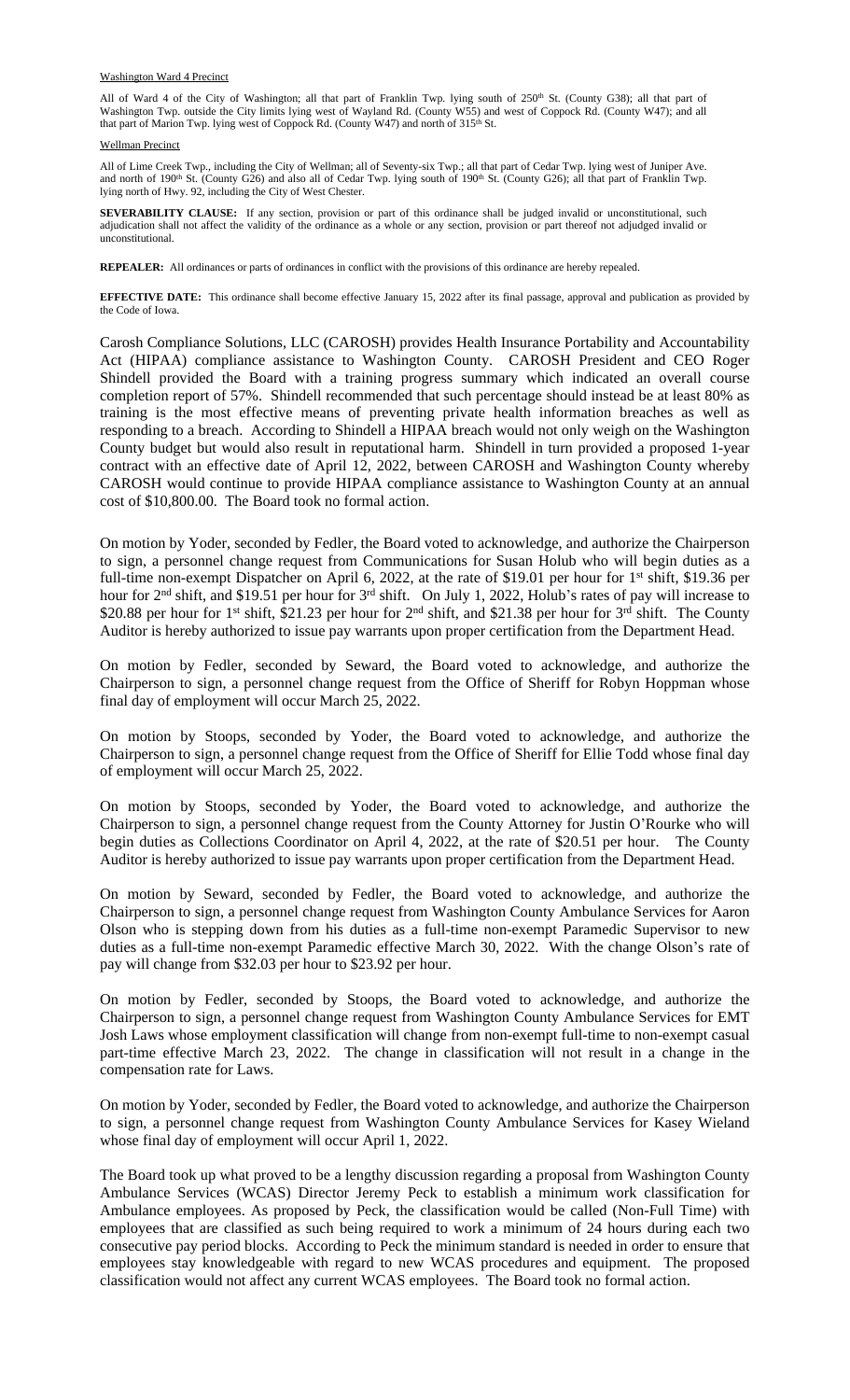#### Washington Ward 4 Precinct

All of Ward 4 of the City of Washington; all that part of Franklin Twp. lying south of 250<sup>th</sup> St. (County G38); all that part of Washington Twp. outside the City limits lying west of Wayland Rd. (County W55) and west of Coppock Rd. (County W47); and all that part of Marion Twp. lying west of Coppock Rd. (County W47) and north of 315<sup>th</sup> St.

### Wellman Precinct

All of Lime Creek Twp., including the City of Wellman; all of Seventy-six Twp.; all that part of Cedar Twp. lying west of Juniper Ave. and north of  $190<sup>th</sup>$  St. (County G26) and also all of Cedar Twp. lying south of  $190<sup>th</sup>$  St. (County G26); all that part of Franklin Twp. lying north of Hwy. 92, including the City of West Chester.

**SEVERABILITY CLAUSE:** If any section, provision or part of this ordinance shall be judged invalid or unconstitutional, such adjudication shall not affect the validity of the ordinance as a whole or any section, provision or part thereof not adjudged invalid or unconstitutional.

**REPEALER:** All ordinances or parts of ordinances in conflict with the provisions of this ordinance are hereby repealed.

**EFFECTIVE DATE:** This ordinance shall become effective January 15, 2022 after its final passage, approval and publication as provided by the Code of Iowa.

Carosh Compliance Solutions, LLC (CAROSH) provides Health Insurance Portability and Accountability Act (HIPAA) compliance assistance to Washington County. CAROSH President and CEO Roger Shindell provided the Board with a training progress summary which indicated an overall course completion report of 57%. Shindell recommended that such percentage should instead be at least 80% as training is the most effective means of preventing private health information breaches as well as responding to a breach. According to Shindell a HIPAA breach would not only weigh on the Washington County budget but would also result in reputational harm. Shindell in turn provided a proposed 1-year contract with an effective date of April 12, 2022, between CAROSH and Washington County whereby CAROSH would continue to provide HIPAA compliance assistance to Washington County at an annual cost of \$10,800.00. The Board took no formal action.

On motion by Yoder, seconded by Fedler, the Board voted to acknowledge, and authorize the Chairperson to sign, a personnel change request from Communications for Susan Holub who will begin duties as a full-time non-exempt Dispatcher on April 6, 2022, at the rate of \$19.01 per hour for 1<sup>st</sup> shift, \$19.36 per hour for 2<sup>nd</sup> shift, and \$19.51 per hour for 3<sup>rd</sup> shift. On July 1, 2022, Holub's rates of pay will increase to \$20.88 per hour for 1<sup>st</sup> shift, \$21.23 per hour for 2<sup>nd</sup> shift, and \$21.38 per hour for 3<sup>rd</sup> shift. The County Auditor is hereby authorized to issue pay warrants upon proper certification from the Department Head.

On motion by Fedler, seconded by Seward, the Board voted to acknowledge, and authorize the Chairperson to sign, a personnel change request from the Office of Sheriff for Robyn Hoppman whose final day of employment will occur March 25, 2022.

On motion by Stoops, seconded by Yoder, the Board voted to acknowledge, and authorize the Chairperson to sign, a personnel change request from the Office of Sheriff for Ellie Todd whose final day of employment will occur March 25, 2022.

On motion by Stoops, seconded by Yoder, the Board voted to acknowledge, and authorize the Chairperson to sign, a personnel change request from the County Attorney for Justin O'Rourke who will begin duties as Collections Coordinator on April 4, 2022, at the rate of \$20.51 per hour. The County Auditor is hereby authorized to issue pay warrants upon proper certification from the Department Head.

On motion by Seward, seconded by Fedler, the Board voted to acknowledge, and authorize the Chairperson to sign, a personnel change request from Washington County Ambulance Services for Aaron Olson who is stepping down from his duties as a full-time non-exempt Paramedic Supervisor to new duties as a full-time non-exempt Paramedic effective March 30, 2022. With the change Olson's rate of pay will change from \$32.03 per hour to \$23.92 per hour.

On motion by Fedler, seconded by Stoops, the Board voted to acknowledge, and authorize the Chairperson to sign, a personnel change request from Washington County Ambulance Services for EMT Josh Laws whose employment classification will change from non-exempt full-time to non-exempt casual part-time effective March 23, 2022. The change in classification will not result in a change in the compensation rate for Laws.

On motion by Yoder, seconded by Fedler, the Board voted to acknowledge, and authorize the Chairperson to sign, a personnel change request from Washington County Ambulance Services for Kasey Wieland whose final day of employment will occur April 1, 2022.

The Board took up what proved to be a lengthy discussion regarding a proposal from Washington County Ambulance Services (WCAS) Director Jeremy Peck to establish a minimum work classification for Ambulance employees. As proposed by Peck, the classification would be called (Non-Full Time) with employees that are classified as such being required to work a minimum of 24 hours during each two consecutive pay period blocks. According to Peck the minimum standard is needed in order to ensure that employees stay knowledgeable with regard to new WCAS procedures and equipment. The proposed classification would not affect any current WCAS employees. The Board took no formal action.